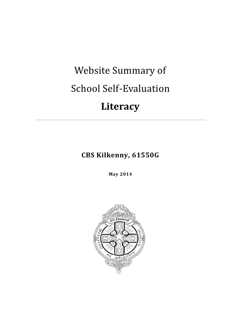# Website Summary of School Self-Evaluation

# **Literacy**

**CBS Kilkenny, 61550G**

**May 2014**

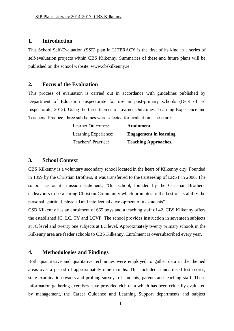#### **1. Introduction**

This School Self-Evaluation (SSE) plan in LITERACY is the first of its kind in a series of self-evaluation projects within CBS Kilkenny. Summaries of these and future plans will be published on the school website, www.cbskilkenny.ie.

### **2. Focus of the Evaluation**

This process of evaluation is carried out in accordance with guidelines published by Department of Education Inspectorate for use in post-primary schools (Dept of Ed Inspectorate, 2012). Using the three themes of Learner Outcomes, Learning Experience and Teachers' Practice, three subthemes were selected for evaluation. These are:

| Learner Outcomes:    | <b>Attainment</b>             |
|----------------------|-------------------------------|
| Learning Experience: | <b>Engagement in learning</b> |
| Teachers' Practice:  | <b>Teaching Approaches.</b>   |

#### **3. School Context**

CBS Kilkenny is a voluntary secondary school located in the heart of Kilkenny city. Founded in 1859 by the Christian Brothers, it was transferred to the trusteeship of ERST in 2006. The school has as its mission statement, "Our school, founded by the Christian Brothers, endeavours to be a caring Christian Community which promotes to the best of its ability the personal, spiritual, physical and intellectual development of its students".

CSB Kilkenny has an enrolment of 665 boys and a teaching staff of 42. CBS Kilkenny offers the established JC, LC, TY and LCVP. The school provides instruction in seventeen subjects at JC level and twenty one subjects at LC level. Approximately twenty primary schools in the Kilkenny area are feeder schools to CBS Kilkenny. Enrolment is oversubscribed every year.

# **4. Methodologies and Findings**

Both quantitative and qualitative techniques were employed to gather data in the themed areas over a period of approximately nine months. This included standardised test scores, state examination results and probing surveys of students, parents and teaching staff. These information gathering exercises have provided rich data which has been critically evaluated by management, the Career Guidance and Learning Support departments and subject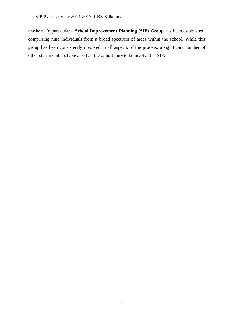#### SIP Plan: Literacy 2014-2017, CBS Kilkenny

teachers. In particular a **School Improvement Planning (SIP) Group** has been established, comprising nine individuals from a broad spectrum of areas within the school. While this group has been consistently involved in all aspects of the process, a significant number of other staff members have also had the opportunity to be involved in SIP.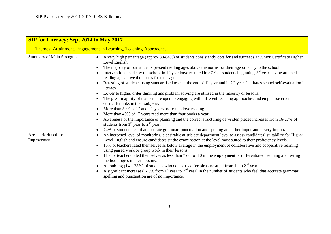| <b>SIP for Literacy: Sept 2014 to May 2017</b><br>Themes: Attainment, Engagement in Learning, Teaching Approaches |                                                                                                                                                                                                                                                                                                                                                                                                                                                                                                                                                                                                                                                                                                                                                                                                                                                                             |
|-------------------------------------------------------------------------------------------------------------------|-----------------------------------------------------------------------------------------------------------------------------------------------------------------------------------------------------------------------------------------------------------------------------------------------------------------------------------------------------------------------------------------------------------------------------------------------------------------------------------------------------------------------------------------------------------------------------------------------------------------------------------------------------------------------------------------------------------------------------------------------------------------------------------------------------------------------------------------------------------------------------|
|                                                                                                                   |                                                                                                                                                                                                                                                                                                                                                                                                                                                                                                                                                                                                                                                                                                                                                                                                                                                                             |
| Areas prioritised for<br>Improvement                                                                              | An increased level of monitoring is desirable at subject department level to assess candidates' suitability for Higher<br>Level English and ensure candidates sit the examination at the level most suited to their proficiency levels.<br>15% of teachers rated themselves as below average in the employment of collaborative and cooperative learning<br>using paired work or group work in their lessons.<br>11% of teachers rated themselves as less than 7 out of 10 in the employment of differentiated teaching and testing<br>methodologies in their lessons.<br>A doubling $(14 - 28%)$ of students who do not read for pleasure at all from 1 <sup>st</sup> to 2 <sup>nd</sup> year.<br>A significant increase (1- 6% from $1st$ year to $2nd$ year) in the number of students who feel that accurate grammar,<br>spelling and punctuation are of no importance. |